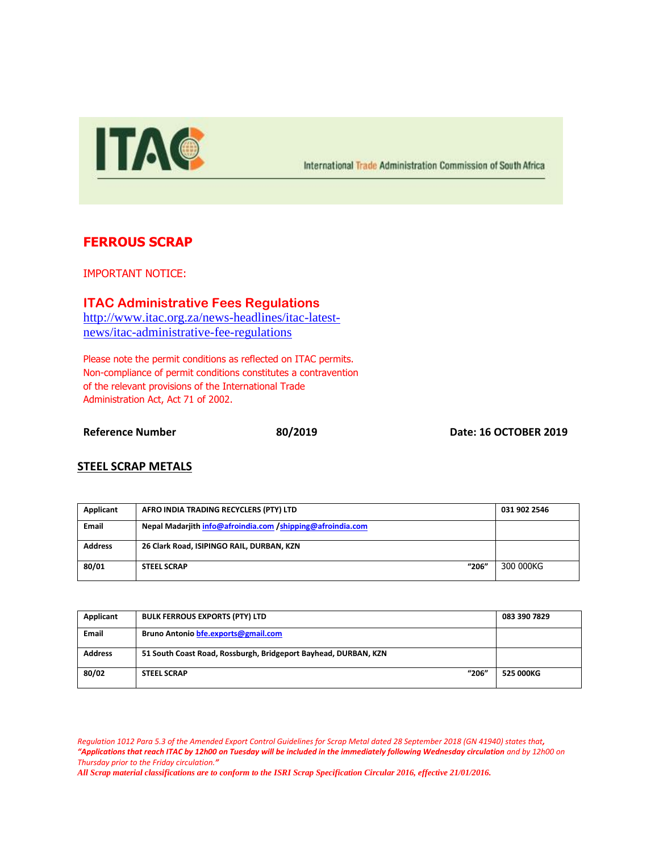

International Trade Administration Commission of South Africa

## **FERROUS SCRAP**

IMPORTANT NOTICE:

**ITAC Administrative Fees Regulations** [http://www.itac.org.za/news-headlines/itac-latest](http://www.itac.org.za/news-headlines/itac-latest-news/itac-administrative-fee-regulations)[news/itac-administrative-fee-regulations](http://www.itac.org.za/news-headlines/itac-latest-news/itac-administrative-fee-regulations)

Please note the permit conditions as reflected on ITAC permits. Non-compliance of permit conditions constitutes a contravention of the relevant provisions of the International Trade Administration Act, Act 71 of 2002.

**Reference Number 80/2019 Date: 16 OCTOBER 2019**

## **STEEL SCRAP METALS**

| Applicant      | AFRO INDIA TRADING RECYCLERS (PTY) LTD                     | 031 902 2546 |
|----------------|------------------------------------------------------------|--------------|
| <b>Email</b>   | Nepal Madarjith info@afroindia.com /shipping@afroindia.com |              |
| <b>Address</b> | 26 Clark Road, ISIPINGO RAIL, DURBAN, KZN                  |              |
| 80/01          | "206"<br><b>STEEL SCRAP</b>                                | 300 000KG    |

| Applicant      | <b>BULK FERROUS EXPORTS (PTY) LTD</b>                           | 083 390 7829 |
|----------------|-----------------------------------------------------------------|--------------|
| <b>Email</b>   | Bruno Antonio bfe.exports@gmail.com                             |              |
| <b>Address</b> | 51 South Coast Road, Rossburgh, Bridgeport Bayhead, DURBAN, KZN |              |
| 80/02          | "206"<br><b>STEEL SCRAP</b>                                     | 525 000KG    |

*Regulation 1012 Para 5.3 of the Amended Export Control Guidelines for Scrap Metal dated 28 September 2018 (GN 41940) states that, "Applications that reach ITAC by 12h00 on Tuesday will be included in the immediately following Wednesday circulation and by 12h00 on Thursday prior to the Friday circulation."*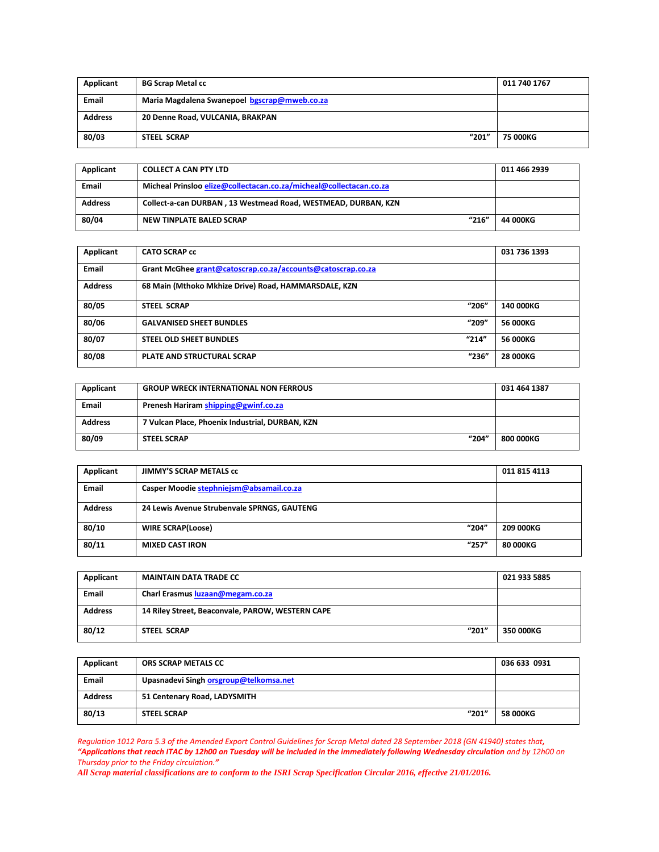| Applicant      | <b>BG Scrap Metal cc</b>                     | 011 740 1767    |
|----------------|----------------------------------------------|-----------------|
| <b>Email</b>   | Maria Magdalena Swanepoel bgscrap@mweb.co.za |                 |
| <b>Address</b> | 20 Denne Road, VULCANIA, BRAKPAN             |                 |
| 80/03          | "201"<br>STEEL SCRAP                         | <b>75 000KG</b> |

| Applicant      | <b>COLLECT A CAN PTY LTD</b>                                       | 011 466 2939 |
|----------------|--------------------------------------------------------------------|--------------|
| <b>Email</b>   | Micheal Prinsloo elize@collectacan.co.za/micheal@collectacan.co.za |              |
| <b>Address</b> | Collect-a-can DURBAN, 13 Westmead Road, WESTMEAD, DURBAN, KZN      |              |
| 80/04          | "216"<br>NEW TINPLATE BALED SCRAP                                  | 44 000KG     |

| Applicant      | <b>CATO SCRAP cc</b>                                        |       | 031 736 1393    |
|----------------|-------------------------------------------------------------|-------|-----------------|
| <b>Email</b>   | Grant McGhee grant@catoscrap.co.za/accounts@catoscrap.co.za |       |                 |
| <b>Address</b> | 68 Main (Mthoko Mkhize Drive) Road, HAMMARSDALE, KZN        |       |                 |
| 80/05          | <b>STEEL SCRAP</b>                                          | "206" | 140 000KG       |
| 80/06          | <b>GALVANISED SHEET BUNDLES</b>                             | "209" | 56 000KG        |
| 80/07          | <b>STEEL OLD SHEET BUNDLES</b>                              | "214" | <b>56 000KG</b> |
| 80/08          | <b>PLATE AND STRUCTURAL SCRAP</b>                           | "236" | 28 000KG        |

| Applicant      | <b>GROUP WRECK INTERNATIONAL NON FERROUS</b>    | 031 464 1387     |
|----------------|-------------------------------------------------|------------------|
| <b>Email</b>   | Prenesh Hariram shipping@gwinf.co.za            |                  |
| <b>Address</b> | 7 Vulcan Place, Phoenix Industrial, DURBAN, KZN |                  |
| 80/09          | "204"<br><b>STEEL SCRAP</b>                     | <b>800 000KG</b> |

| Applicant      | <b>JIMMY'S SCRAP METALS CC</b>              | 011 815 4113 |
|----------------|---------------------------------------------|--------------|
| Email          | Casper Moodie stephniejsm@absamail.co.za    |              |
| <b>Address</b> | 24 Lewis Avenue Strubenvale SPRNGS, GAUTENG |              |
| 80/10          | "204"<br><b>WIRE SCRAP(Loose)</b>           | 209 000KG    |
| 80/11          | "257"<br><b>MIXED CAST IRON</b>             | 80 000KG     |

| Applicant      | <b>MAINTAIN DATA TRADE CC</b>                    | 021 933 5885 |
|----------------|--------------------------------------------------|--------------|
| <b>Email</b>   | Charl Erasmus luzaan@megam.co.za                 |              |
| <b>Address</b> | 14 Riley Street, Beaconvale, PAROW, WESTERN CAPE |              |
| 80/12          | "201"<br><b>STEEL SCRAP</b>                      | 350 000KG    |

| Applicant      | ORS SCRAP METALS CC                    | 036 633 0931    |
|----------------|----------------------------------------|-----------------|
| <b>Email</b>   | Upasnadevi Singh orsgroup@telkomsa.net |                 |
| <b>Address</b> | 51 Centenary Road, LADYSMITH           |                 |
| 80/13          | "201"<br><b>STEEL SCRAP</b>            | <b>58 000KG</b> |

*Regulation 1012 Para 5.3 of the Amended Export Control Guidelines for Scrap Metal dated 28 September 2018 (GN 41940) states that, "Applications that reach ITAC by 12h00 on Tuesday will be included in the immediately following Wednesday circulation and by 12h00 on Thursday prior to the Friday circulation."*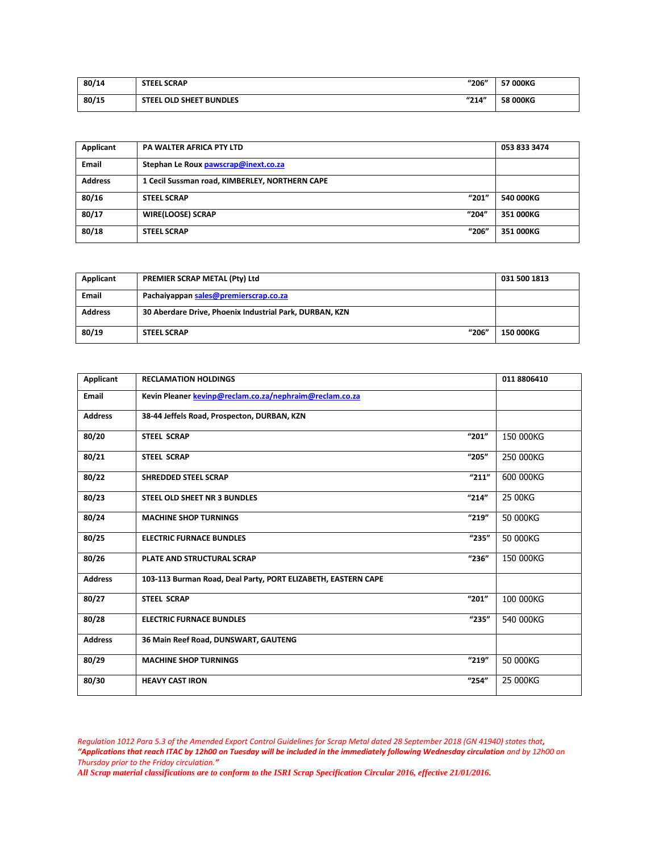| 80/14 | <b>STEEL SCRAP</b>      | "206" | 57 000KG |
|-------|-------------------------|-------|----------|
| 80/15 | STEEL OLD SHEET BUNDLES | "214" | 58 000KG |

| Applicant      | <b>PA WALTER AFRICA PTY LTD</b>                | 053 833 3474 |
|----------------|------------------------------------------------|--------------|
| <b>Email</b>   | Stephan Le Roux pawscrap@inext.co.za           |              |
| <b>Address</b> | 1 Cecil Sussman road, KIMBERLEY, NORTHERN CAPE |              |
| 80/16          | "201"<br><b>STEEL SCRAP</b>                    | 540 000KG    |
| 80/17          | "204"<br><b>WIRE(LOOSE) SCRAP</b>              | 351 000KG    |
| 80/18          | "206"<br><b>STEEL SCRAP</b>                    | 351 000KG    |

| Applicant      | <b>PREMIER SCRAP METAL (Pty) Ltd</b>                    | 031 500 1813 |
|----------------|---------------------------------------------------------|--------------|
| <b>Email</b>   | Pachaiyappan sales@premierscrap.co.za                   |              |
| <b>Address</b> | 30 Aberdare Drive, Phoenix Industrial Park, DURBAN, KZN |              |
| 80/19          | "206"<br><b>STEEL SCRAP</b>                             | 150 000KG    |

| <b>Applicant</b> | <b>RECLAMATION HOLDINGS</b>                                   | 011 8806410 |
|------------------|---------------------------------------------------------------|-------------|
| Email            | Kevin Pleaner kevinp@reclam.co.za/nephraim@reclam.co.za       |             |
| <b>Address</b>   | 38-44 Jeffels Road, Prospecton, DURBAN, KZN                   |             |
| 80/20            | "201"<br><b>STEEL SCRAP</b>                                   | 150 000KG   |
| 80/21            | "205"<br><b>STEEL SCRAP</b>                                   | 250 000KG   |
| 80/22            | "211"<br><b>SHREDDED STEEL SCRAP</b>                          | 600 000KG   |
| 80/23            | "214"<br><b>STEEL OLD SHEET NR 3 BUNDLES</b>                  | 25 00KG     |
| 80/24            | "219"<br><b>MACHINE SHOP TURNINGS</b>                         | 50 000KG    |
| 80/25            | "235"<br><b>ELECTRIC FURNACE BUNDLES</b>                      | 50 000KG    |
| 80/26            | "236"<br>PLATE AND STRUCTURAL SCRAP                           | 150 000KG   |
| <b>Address</b>   | 103-113 Burman Road, Deal Party, PORT ELIZABETH, EASTERN CAPE |             |
| 80/27            | "201"<br><b>STEEL SCRAP</b>                                   | 100 000KG   |
| 80/28            | "235"<br><b>ELECTRIC FURNACE BUNDLES</b>                      | 540 000KG   |
| <b>Address</b>   | 36 Main Reef Road, DUNSWART, GAUTENG                          |             |
| 80/29            | "219"<br><b>MACHINE SHOP TURNINGS</b>                         | 50 000KG    |
| 80/30            | "254"<br><b>HEAVY CAST IRON</b>                               | 25 000KG    |

*Regulation 1012 Para 5.3 of the Amended Export Control Guidelines for Scrap Metal dated 28 September 2018 (GN 41940) states that, "Applications that reach ITAC by 12h00 on Tuesday will be included in the immediately following Wednesday circulation and by 12h00 on Thursday prior to the Friday circulation."*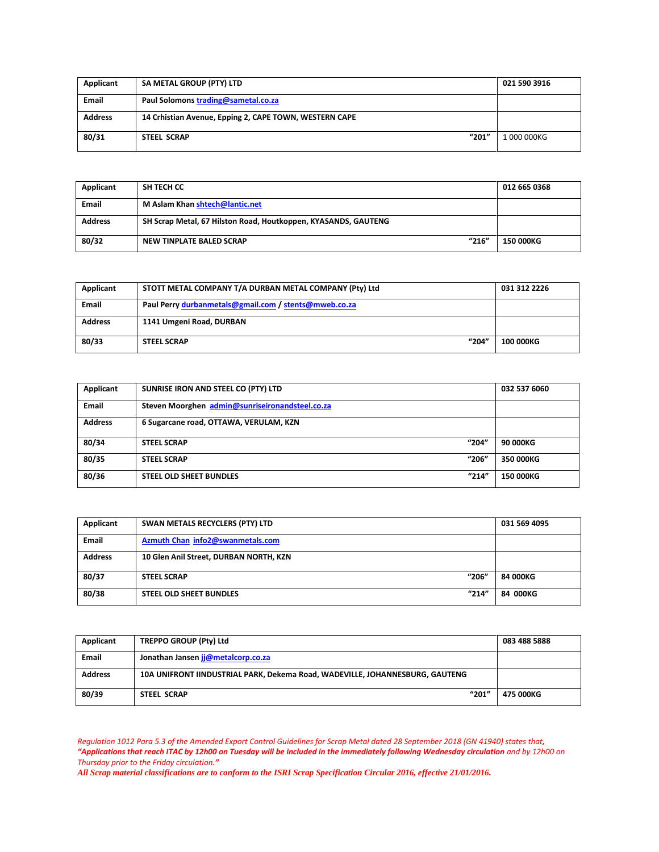| Applicant      | SA METAL GROUP (PTY) LTD                               | 021 590 3916 |
|----------------|--------------------------------------------------------|--------------|
| <b>Email</b>   | Paul Solomons trading@sametal.co.za                    |              |
| <b>Address</b> | 14 Crhistian Avenue, Epping 2, CAPE TOWN, WESTERN CAPE |              |
| 80/31          | "201"<br><b>STEEL SCRAP</b>                            | 1 000 000KG  |

| Applicant      | SH TECH CC                                                     | 012 665 0368     |
|----------------|----------------------------------------------------------------|------------------|
| <b>Email</b>   | M Aslam Khan shtech@lantic.net                                 |                  |
| <b>Address</b> | SH Scrap Metal, 67 Hilston Road, Houtkoppen, KYASANDS, GAUTENG |                  |
| 80/32          | "216"<br>NEW TINPLATE BALED SCRAP                              | <b>150 000KG</b> |

| Applicant      | STOTT METAL COMPANY T/A DURBAN METAL COMPANY (Pty) Ltd | 031 312 2226 |
|----------------|--------------------------------------------------------|--------------|
| <b>Email</b>   | Paul Perry durbanmetals@gmail.com / stents@mweb.co.za  |              |
| <b>Address</b> | 1141 Umgeni Road, DURBAN                               |              |
| 80/33          | "204"<br><b>STEEL SCRAP</b>                            | 100 000KG    |

| Applicant      | SUNRISE IRON AND STEEL CO (PTY) LTD             | 032 537 6060     |
|----------------|-------------------------------------------------|------------------|
| Email          | Steven Moorghen admin@sunriseironandsteel.co.za |                  |
| <b>Address</b> | 6 Sugarcane road, OTTAWA, VERULAM, KZN          |                  |
| 80/34          | "204"<br><b>STEEL SCRAP</b>                     | 90 000KG         |
| 80/35          | "206"<br><b>STEEL SCRAP</b>                     | 350 000KG        |
| 80/36          | "214"<br><b>STEEL OLD SHEET BUNDLES</b>         | <b>150 000KG</b> |

| Applicant      | SWAN METALS RECYCLERS (PTY) LTD         | 031 569 4095 |
|----------------|-----------------------------------------|--------------|
| <b>Email</b>   | Azmuth Chan info2@swanmetals.com        |              |
| <b>Address</b> | 10 Glen Anil Street, DURBAN NORTH, KZN  |              |
| 80/37          | "206"<br><b>STEEL SCRAP</b>             | 84 000KG     |
| 80/38          | "214"<br><b>STEEL OLD SHEET BUNDLES</b> | 84 000KG     |

| Applicant      | TREPPO GROUP (Pty) Ltd                                                       | 083 488 5888 |
|----------------|------------------------------------------------------------------------------|--------------|
| <b>Email</b>   | Jonathan Jansen jj@metalcorp.co.za                                           |              |
| <b>Address</b> | 10A UNIFRONT IINDUSTRIAL PARK, Dekema Road, WADEVILLE, JOHANNESBURG, GAUTENG |              |
| 80/39          | "201"<br><b>STEEL SCRAP</b>                                                  | 475 000KG    |

*Regulation 1012 Para 5.3 of the Amended Export Control Guidelines for Scrap Metal dated 28 September 2018 (GN 41940) states that, "Applications that reach ITAC by 12h00 on Tuesday will be included in the immediately following Wednesday circulation and by 12h00 on Thursday prior to the Friday circulation."*